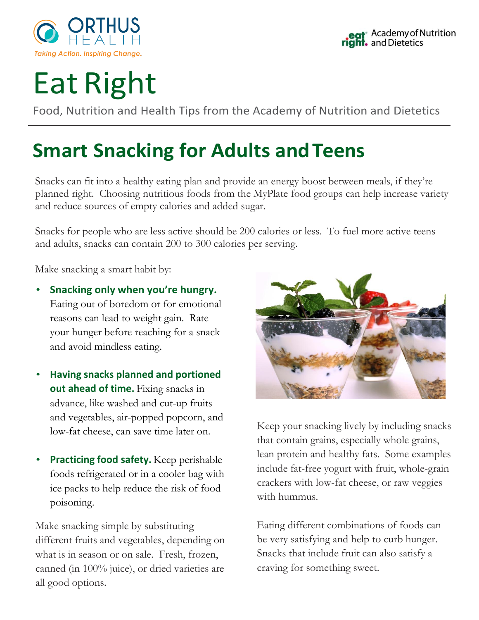

## Eat Right

Food, Nutrition and Health Tips from the Academy of Nutrition and Dietetics

## **Smart Snacking for Adults and Teens**

Snacks can fit into a healthy eating plan and provide an energy boost between meals, if they're planned right. Choosing nutritious foods from the MyPlate food groups can help increase variety and reduce sources of empty calories and added sugar.

Snacks for people who are less active should be 200 calories or less. To fuel more active teens and adults, snacks can contain 200 to 300 calories per serving.

Make snacking a smart habit by:

- **Snacking only when you're hungry.** Eating out of boredom or for emotional reasons can lead to weight gain. Rate your hunger before reaching for a snack and avoid mindless eating.
- **Having snacks planned and portioned out ahead of time.** Fixing snacks in advance, like washed and cut-up fruits and vegetables, air-popped popcorn, and low-fat cheese, can save time later on.
- **Practicing food safety.** Keep perishable foods refrigerated or in a cooler bag with ice packs to help reduce the risk of food poisoning.

Make snacking simple by substituting different fruits and vegetables, depending on what is in season or on sale. Fresh, frozen, canned (in 100% juice), or dried varieties are all good options.



Keep your snacking lively by including snacks that contain grains, especially whole grains, lean protein and healthy fats. Some examples include fat-free yogurt with fruit, whole-grain crackers with low-fat cheese, or raw veggies with hummus.

Eating different combinations of foods can be very satisfying and help to curb hunger. Snacks that include fruit can also satisfy a craving for something sweet.